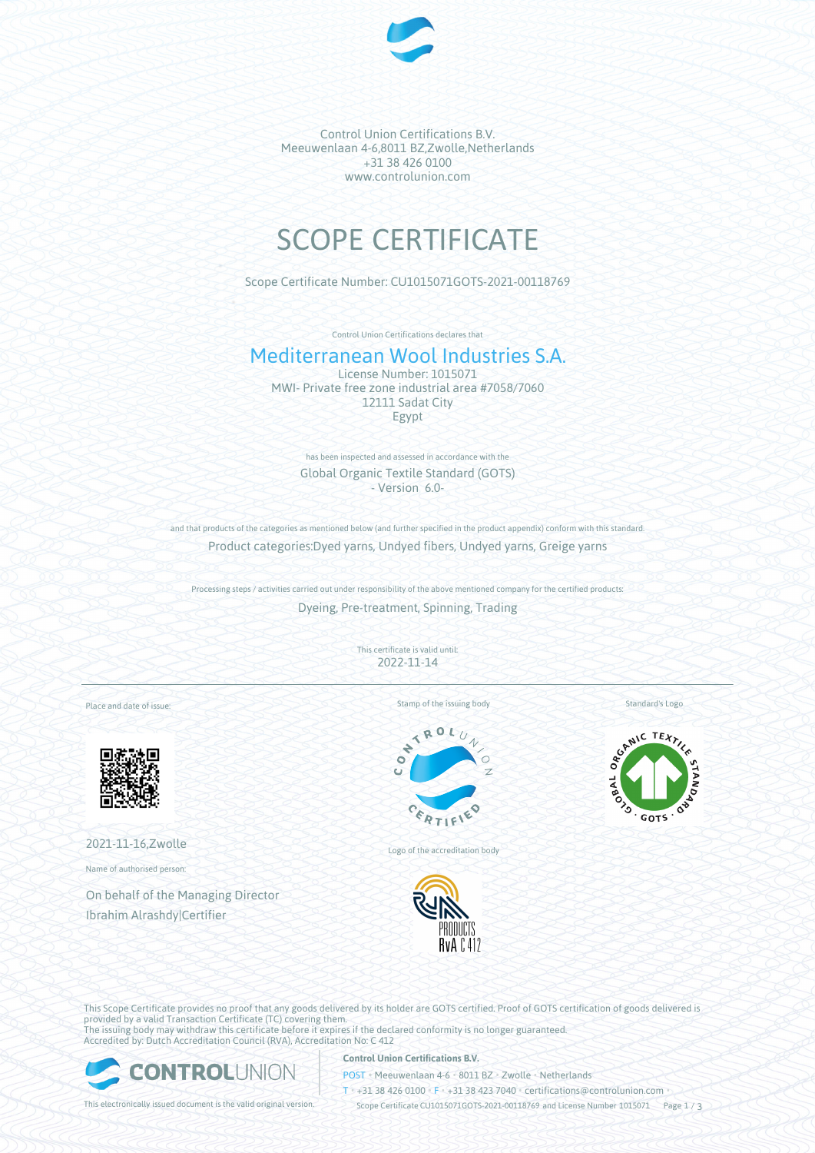

Control Union Certifications B.V. Meeuwenlaan 4-6,8011 BZ,Zwolle,Netherlands +31 38 426 0100 www.controlunion.com

# SCOPE CERTIFICATE

Scope Certificate Number: CU1015071GOTS-2021-00118769

Control Union Certifications declares that

# Mediterranean Wool Industries S.A.

License Number: 1015071 MWI- Private free zone industrial area #7058/7060 12111 Sadat City Egypt

> has been inspected and assessed in accordance with the Global Organic Textile Standard (GOTS) - Version 6.0-

and that products of the categories as mentioned below (and further specified in the product appendix) conform with this standard. Product categories:Dyed yarns, Undyed fibers, Undyed yarns, Greige yarns

Processing steps / activities carried out under responsibility of the above mentioned company for the certified products: Dyeing, Pre-treatment, Spinning, Trading

> This certificate is valid until: 2022-11-14

Place and date of issue:



2021-11-16,Zwolle

Name of authorised person:

On behalf of the Managing Director Ibrahim Alrashdy|Certifier

Stamp of the issuing body



Logo of the accreditation body



Standard's Logo



This Scope Certificate provides no proof that any goods delivered by its holder are GOTS certified. Proof of GOTS certification of goods delivered is provided by a valid Transaction Certificate (TC) covering them. The issuing body may withdraw this certificate before it expires if the declared conformity is no longer guaranteed. Accredited by: Dutch Accreditation Council (RVA), Accreditation No: C 412



### **Control Union Certifications B.V.**

POST • Meeuwenlaan 4-6 • 8011 BZ • Zwolle • Netherlands

T • +31 38 426 0100 • F • +31 38 423 7040 • certifications@controlunion.com •

This electronically issued document is the valid original version. Scope Certificate CU1015071GOTS-2021-00118769 and License Number 1015071 Page 1 / 3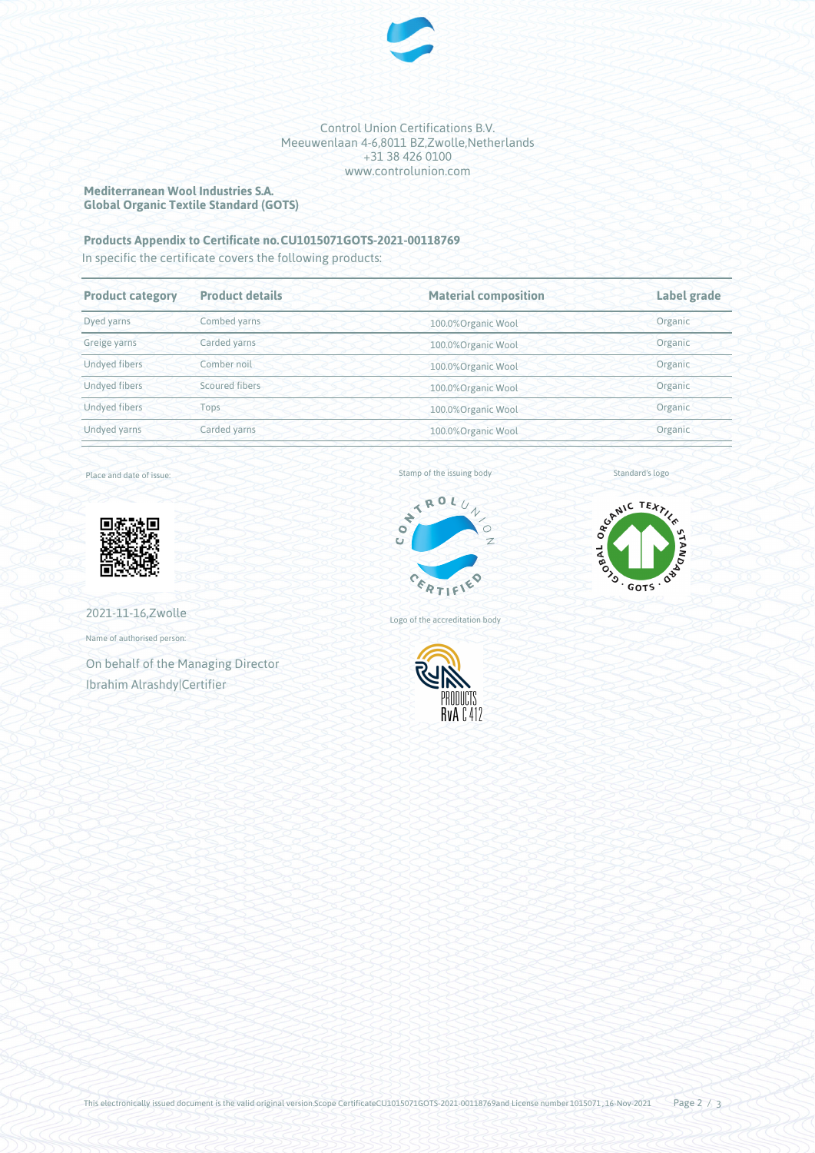

#### Control Union Certifications B.V. Meeuwenlaan 4-6,8011 BZ,Zwolle,Netherlands +31 38 426 0100 www.controlunion.com

#### **Mediterranean Wool Industries S.A. Global Organic Textile Standard (GOTS)**

## **Products Appendix to Certificate no.CU1015071GOTS-2021-00118769**

In specific the certificate covers the following products:

| <b>Product category</b> | <b>Product details</b> | <b>Material composition</b> | Label grade |
|-------------------------|------------------------|-----------------------------|-------------|
| Dyed yarns              | Combed yarns           | 100.0%Organic Wool          | Organic     |
| Greige yarns            | Carded yarns           | 100.0%Organic Wool          | Organic     |
| Undyed fibers           | Comber noil            | 100.0%Organic Wool          | Organic     |
| <b>Undved fibers</b>    | Scoured fibers         | 100.0%Organic Wool          | Organic     |
| <b>Undyed fibers</b>    | Tops                   | 100.0%Organic Wool          | Organic     |
| Undyed yarns            | Carded yarns           | 100.0%Organic Wool          | Organic     |
|                         |                        |                             |             |

Place and date of issue:



2021-11-16,Zwolle

Name of authorised person:

On behalf of the Managing Director Ibrahim Alrashdy|Certifier





Standard's logo

Logo of the accreditation body